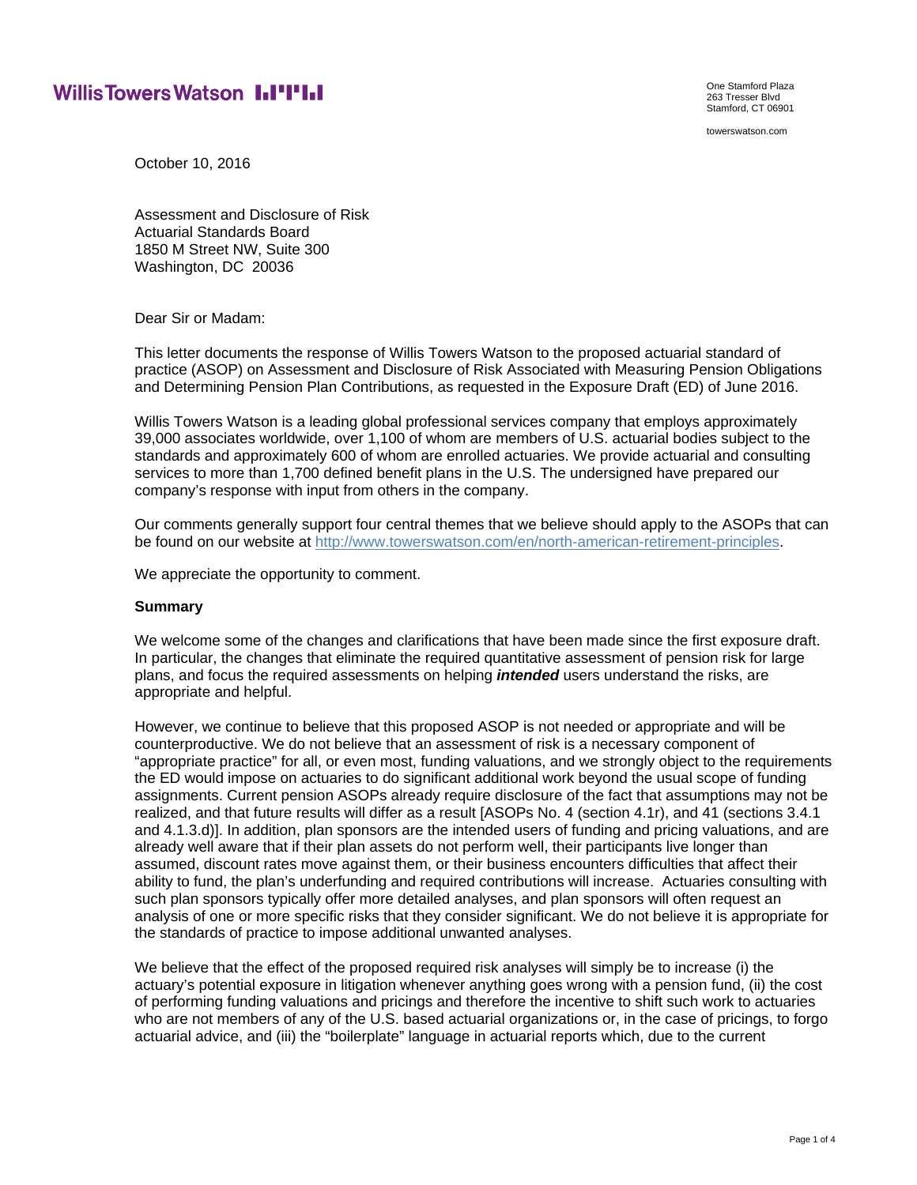# **Willis Towers Watson I.I'I'I.I**

One Stamford Plaza 263 Tresser Blvd Stamford, CT 06901

towerswatson.com

October 10, 2016

Assessment and Disclosure of Risk Actuarial Standards Board 1850 M Street NW, Suite 300 Washington, DC 20036

Dear Sir or Madam:

This letter documents the response of Willis Towers Watson to the proposed actuarial standard of practice (ASOP) on Assessment and Disclosure of Risk Associated with Measuring Pension Obligations and Determining Pension Plan Contributions, as requested in the Exposure Draft (ED) of June 2016.

Willis Towers Watson is a leading global professional services company that employs approximately 39,000 associates worldwide, over 1,100 of whom are members of U.S. actuarial bodies subject to the standards and approximately 600 of whom are enrolled actuaries. We provide actuarial and consulting services to more than 1,700 defined benefit plans in the U.S. The undersigned have prepared our company's response with input from others in the company.

Our comments generally support four central themes that we believe should apply to the ASOPs that can be found on our website at http://www.towerswatson.com/en/north-american-retirement-principles.

We appreciate the opportunity to comment.

#### **Summary**

We welcome some of the changes and clarifications that have been made since the first exposure draft. In particular, the changes that eliminate the required quantitative assessment of pension risk for large plans, and focus the required assessments on helping *intended* users understand the risks, are appropriate and helpful.

However, we continue to believe that this proposed ASOP is not needed or appropriate and will be counterproductive. We do not believe that an assessment of risk is a necessary component of "appropriate practice" for all, or even most, funding valuations, and we strongly object to the requirements the ED would impose on actuaries to do significant additional work beyond the usual scope of funding assignments. Current pension ASOPs already require disclosure of the fact that assumptions may not be realized, and that future results will differ as a result [ASOPs No. 4 (section 4.1r), and 41 (sections 3.4.1 and 4.1.3.d)]. In addition, plan sponsors are the intended users of funding and pricing valuations, and are already well aware that if their plan assets do not perform well, their participants live longer than assumed, discount rates move against them, or their business encounters difficulties that affect their ability to fund, the plan's underfunding and required contributions will increase. Actuaries consulting with such plan sponsors typically offer more detailed analyses, and plan sponsors will often request an analysis of one or more specific risks that they consider significant. We do not believe it is appropriate for the standards of practice to impose additional unwanted analyses.

We believe that the effect of the proposed required risk analyses will simply be to increase (i) the actuary's potential exposure in litigation whenever anything goes wrong with a pension fund, (ii) the cost of performing funding valuations and pricings and therefore the incentive to shift such work to actuaries who are not members of any of the U.S. based actuarial organizations or, in the case of pricings, to forgo actuarial advice, and (iii) the "boilerplate" language in actuarial reports which, due to the current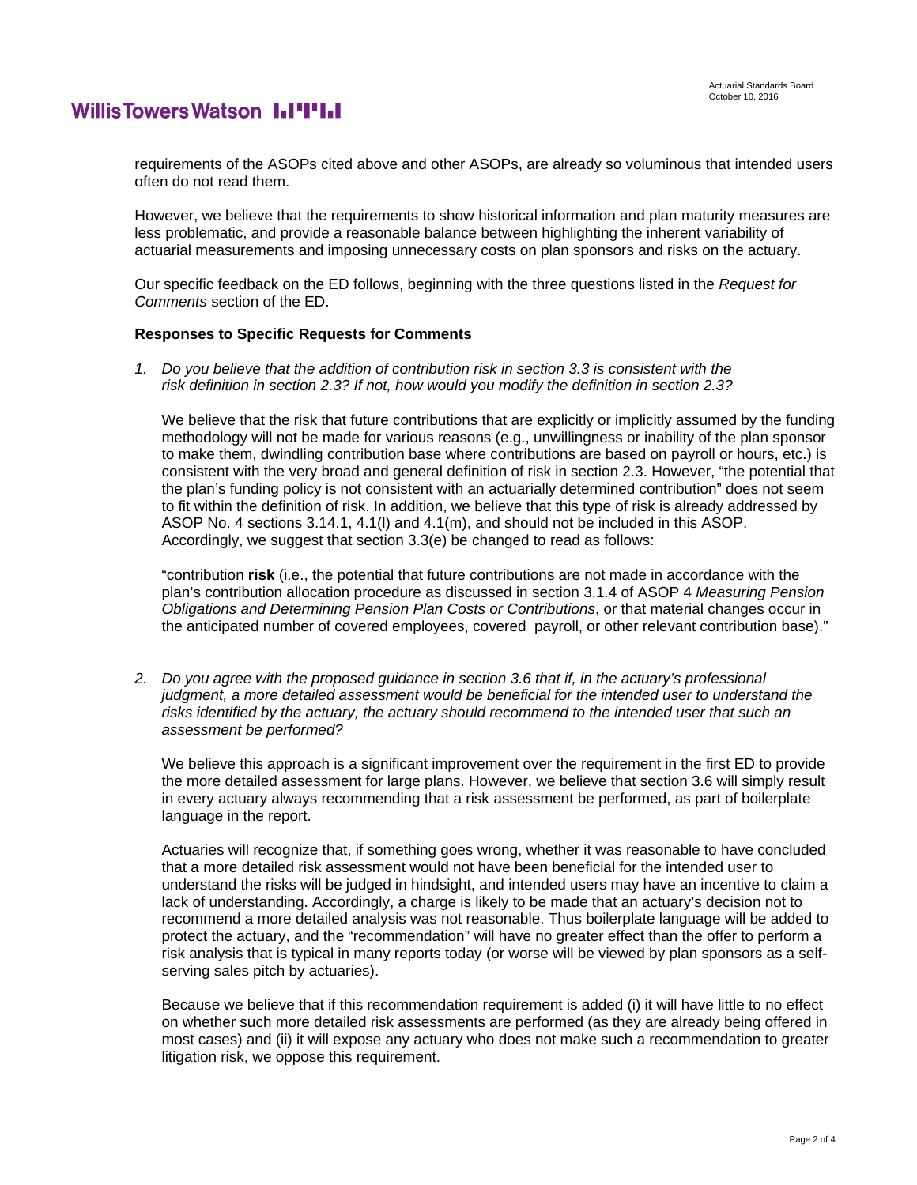# **WillisTowersWatson I.I'I'I.I**

requirements of the ASOPs cited above and other ASOPs, are already so voluminous that intended users often do not read them.

However, we believe that the requirements to show historical information and plan maturity measures are less problematic, and provide a reasonable balance between highlighting the inherent variability of actuarial measurements and imposing unnecessary costs on plan sponsors and risks on the actuary.

Our specific feedback on the ED follows, beginning with the three questions listed in the *Request for Comments* section of the ED.

#### **Responses to Specific Requests for Comments**

*1. Do you believe that the addition of contribution risk in section 3.3 is consistent with the risk definition in section 2.3? If not, how would you modify the definition in section 2.3?* 

We believe that the risk that future contributions that are explicitly or implicitly assumed by the funding methodology will not be made for various reasons (e.g., unwillingness or inability of the plan sponsor to make them, dwindling contribution base where contributions are based on payroll or hours, etc.) is consistent with the very broad and general definition of risk in section 2.3. However, "the potential that the plan's funding policy is not consistent with an actuarially determined contribution" does not seem to fit within the definition of risk. In addition, we believe that this type of risk is already addressed by ASOP No. 4 sections 3.14.1, 4.1(l) and 4.1(m), and should not be included in this ASOP. Accordingly, we suggest that section 3.3(e) be changed to read as follows:

"contribution **risk** (i.e., the potential that future contributions are not made in accordance with the plan's contribution allocation procedure as discussed in section 3.1.4 of ASOP 4 *Measuring Pension Obligations and Determining Pension Plan Costs or Contributions*, or that material changes occur in the anticipated number of covered employees, covered payroll, or other relevant contribution base)."

*2. Do you agree with the proposed guidance in section 3.6 that if, in the actuary's professional judgment, a more detailed assessment would be beneficial for the intended user to understand the risks identified by the actuary, the actuary should recommend to the intended user that such an assessment be performed?* 

We believe this approach is a significant improvement over the requirement in the first ED to provide the more detailed assessment for large plans. However, we believe that section 3.6 will simply result in every actuary always recommending that a risk assessment be performed, as part of boilerplate language in the report.

Actuaries will recognize that, if something goes wrong, whether it was reasonable to have concluded that a more detailed risk assessment would not have been beneficial for the intended user to understand the risks will be judged in hindsight, and intended users may have an incentive to claim a lack of understanding. Accordingly, a charge is likely to be made that an actuary's decision not to recommend a more detailed analysis was not reasonable. Thus boilerplate language will be added to protect the actuary, and the "recommendation" will have no greater effect than the offer to perform a risk analysis that is typical in many reports today (or worse will be viewed by plan sponsors as a selfserving sales pitch by actuaries).

Because we believe that if this recommendation requirement is added (i) it will have little to no effect on whether such more detailed risk assessments are performed (as they are already being offered in most cases) and (ii) it will expose any actuary who does not make such a recommendation to greater litigation risk, we oppose this requirement.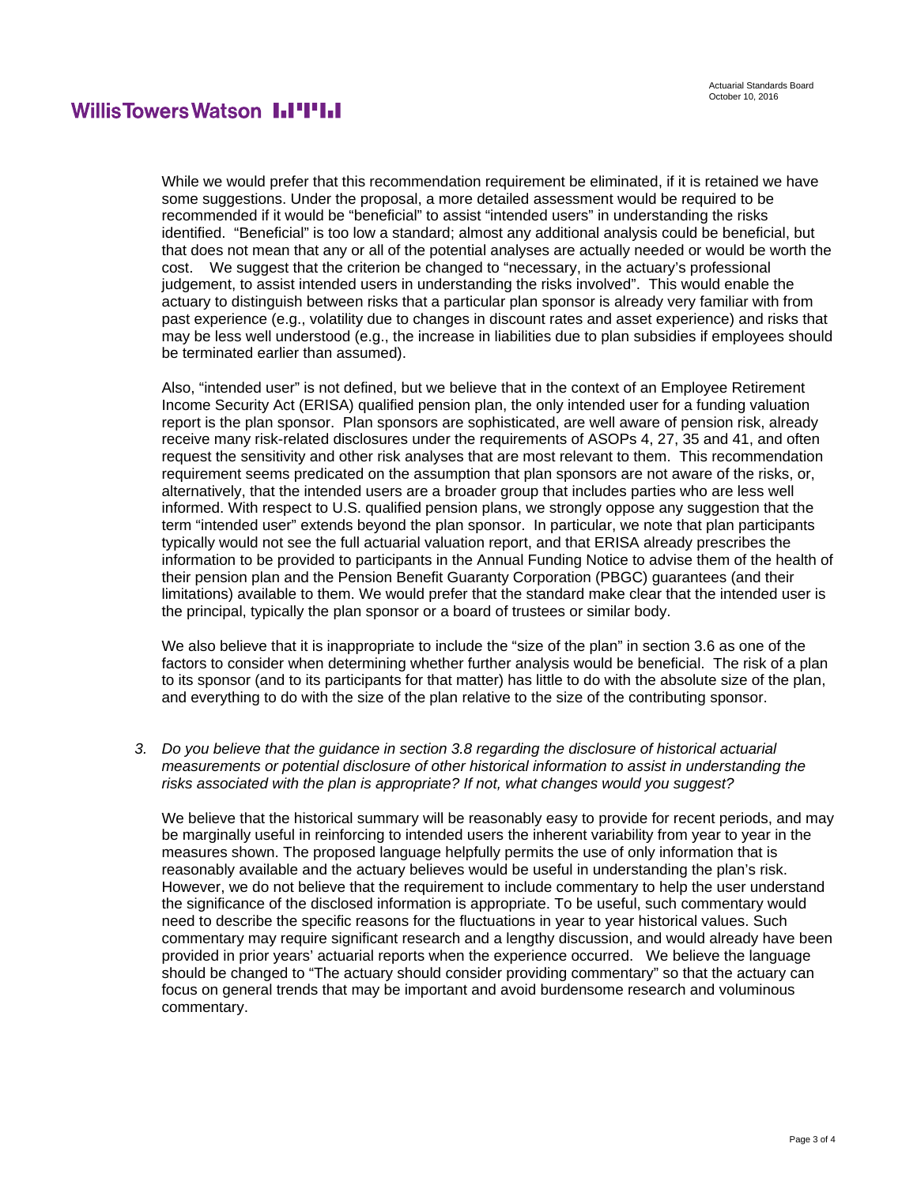## **WillisTowersWatson I.I'I'I.I**

While we would prefer that this recommendation requirement be eliminated, if it is retained we have some suggestions. Under the proposal, a more detailed assessment would be required to be recommended if it would be "beneficial" to assist "intended users" in understanding the risks identified. "Beneficial" is too low a standard; almost any additional analysis could be beneficial, but that does not mean that any or all of the potential analyses are actually needed or would be worth the cost. We suggest that the criterion be changed to "necessary, in the actuary's professional judgement, to assist intended users in understanding the risks involved". This would enable the actuary to distinguish between risks that a particular plan sponsor is already very familiar with from past experience (e.g., volatility due to changes in discount rates and asset experience) and risks that may be less well understood (e.g., the increase in liabilities due to plan subsidies if employees should be terminated earlier than assumed).

Also, "intended user" is not defined, but we believe that in the context of an Employee Retirement Income Security Act (ERISA) qualified pension plan, the only intended user for a funding valuation report is the plan sponsor. Plan sponsors are sophisticated, are well aware of pension risk, already receive many risk-related disclosures under the requirements of ASOPs 4, 27, 35 and 41, and often request the sensitivity and other risk analyses that are most relevant to them. This recommendation requirement seems predicated on the assumption that plan sponsors are not aware of the risks, or, alternatively, that the intended users are a broader group that includes parties who are less well informed. With respect to U.S. qualified pension plans, we strongly oppose any suggestion that the term "intended user" extends beyond the plan sponsor. In particular, we note that plan participants typically would not see the full actuarial valuation report, and that ERISA already prescribes the information to be provided to participants in the Annual Funding Notice to advise them of the health of their pension plan and the Pension Benefit Guaranty Corporation (PBGC) guarantees (and their limitations) available to them. We would prefer that the standard make clear that the intended user is the principal, typically the plan sponsor or a board of trustees or similar body.

We also believe that it is inappropriate to include the "size of the plan" in section 3.6 as one of the factors to consider when determining whether further analysis would be beneficial. The risk of a plan to its sponsor (and to its participants for that matter) has little to do with the absolute size of the plan, and everything to do with the size of the plan relative to the size of the contributing sponsor.

*3. Do you believe that the guidance in section 3.8 regarding the disclosure of historical actuarial measurements or potential disclosure of other historical information to assist in understanding the risks associated with the plan is appropriate? If not, what changes would you suggest?* 

We believe that the historical summary will be reasonably easy to provide for recent periods, and may be marginally useful in reinforcing to intended users the inherent variability from year to year in the measures shown. The proposed language helpfully permits the use of only information that is reasonably available and the actuary believes would be useful in understanding the plan's risk. However, we do not believe that the requirement to include commentary to help the user understand the significance of the disclosed information is appropriate. To be useful, such commentary would need to describe the specific reasons for the fluctuations in year to year historical values. Such commentary may require significant research and a lengthy discussion, and would already have been provided in prior years' actuarial reports when the experience occurred. We believe the language should be changed to "The actuary should consider providing commentary" so that the actuary can focus on general trends that may be important and avoid burdensome research and voluminous commentary.